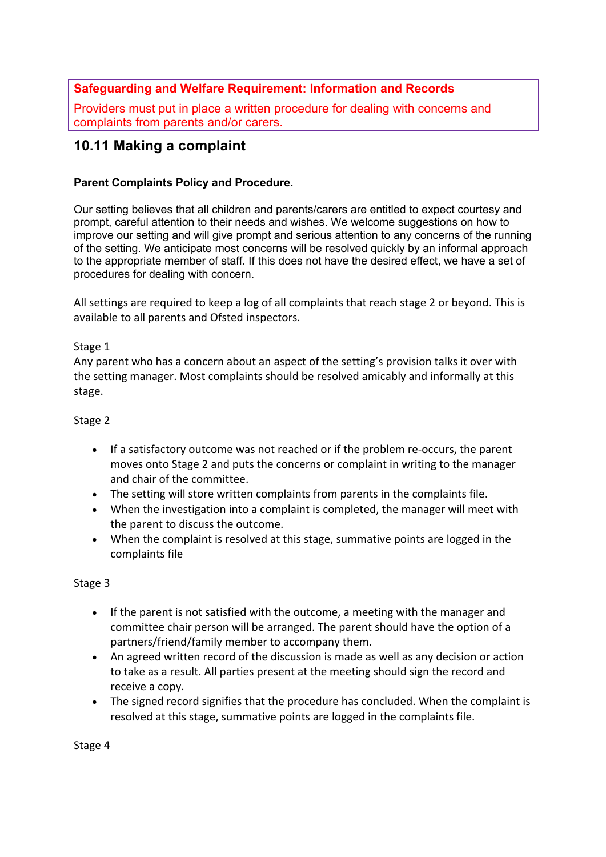## **Safeguarding and Welfare Requirement: Information and Records**

Providers must put in place a written procedure for dealing with concerns and complaints from parents and/or carers.

# **10.11 Making a complaint**

### **Parent Complaints Policy and Procedure.**

Our setting believes that all children and parents/carers are entitled to expect courtesy and prompt, careful attention to their needs and wishes. We welcome suggestions on how to improve our setting and will give prompt and serious attention to any concerns of the running of the setting. We anticipate most concerns will be resolved quickly by an informal approach to the appropriate member of staff. If this does not have the desired effect, we have a set of procedures for dealing with concern.

All settings are required to keep a log of all complaints that reach stage 2 or beyond. This is available to all parents and Ofsted inspectors.

#### Stage 1

Any parent who has a concern about an aspect of the setting's provision talks it over with the setting manager. Most complaints should be resolved amicably and informally at this stage.

#### Stage 2

- If a satisfactory outcome was not reached or if the problem re-occurs, the parent moves onto Stage 2 and puts the concerns or complaint in writing to the manager and chair of the committee.
- The setting will store written complaints from parents in the complaints file.
- When the investigation into a complaint is completed, the manager will meet with the parent to discuss the outcome.
- When the complaint is resolved at this stage, summative points are logged in the complaints file

#### Stage 3

- If the parent is not satisfied with the outcome, a meeting with the manager and committee chair person will be arranged. The parent should have the option of a partners/friend/family member to accompany them.
- An agreed written record of the discussion is made as well as any decision or action to take as a result. All parties present at the meeting should sign the record and receive a copy.
- The signed record signifies that the procedure has concluded. When the complaint is resolved at this stage, summative points are logged in the complaints file.

Stage 4